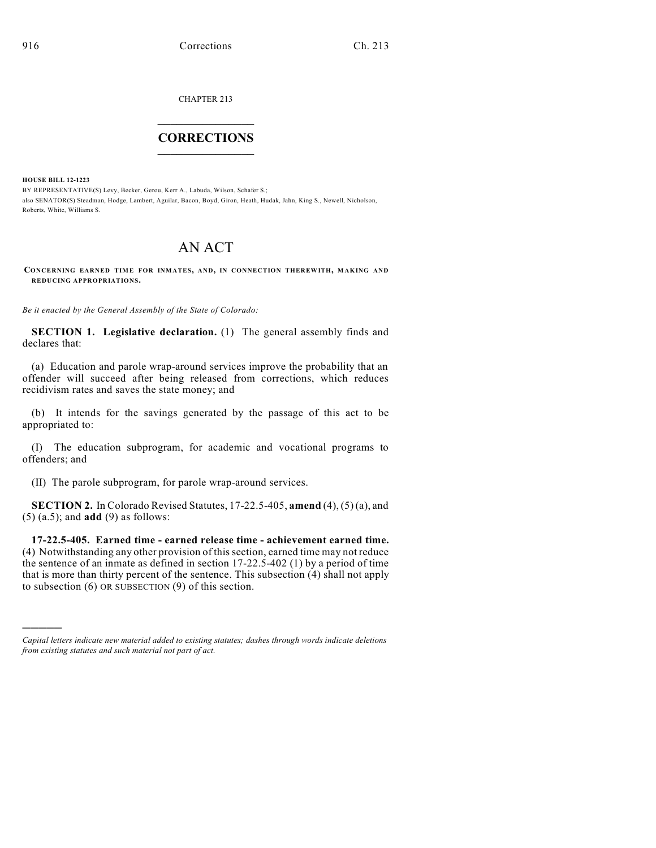CHAPTER 213

## $\mathcal{L}_\text{max}$  . The set of the set of the set of the set of the set of the set of the set of the set of the set of the set of the set of the set of the set of the set of the set of the set of the set of the set of the set **CORRECTIONS**  $\frac{1}{2}$  ,  $\frac{1}{2}$  ,  $\frac{1}{2}$  ,  $\frac{1}{2}$  ,  $\frac{1}{2}$  ,  $\frac{1}{2}$

**HOUSE BILL 12-1223**

)))))

BY REPRESENTATIVE(S) Levy, Becker, Gerou, Kerr A., Labuda, Wilson, Schafer S.; also SENATOR(S) Steadman, Hodge, Lambert, Aguilar, Bacon, Boyd, Giron, Heath, Hudak, Jahn, King S., Newell, Nicholson, Roberts, White, Williams S.

## AN ACT

**CONCERNING EARNED TIM E FOR INMATES, AND, IN CONNECTION THEREWITH, MAKING AND REDUCING APPROPRIATIONS.**

*Be it enacted by the General Assembly of the State of Colorado:*

**SECTION 1. Legislative declaration.** (1) The general assembly finds and declares that:

(a) Education and parole wrap-around services improve the probability that an offender will succeed after being released from corrections, which reduces recidivism rates and saves the state money; and

(b) It intends for the savings generated by the passage of this act to be appropriated to:

(I) The education subprogram, for academic and vocational programs to offenders; and

(II) The parole subprogram, for parole wrap-around services.

**SECTION 2.** In Colorado Revised Statutes, 17-22.5-405, **amend** (4), (5) (a), and (5) (a.5); and **add** (9) as follows:

**17-22.5-405. Earned time - earned release time - achievement earned time.** (4) Notwithstanding any other provision of thissection, earned time may not reduce the sentence of an inmate as defined in section 17-22.5-402 (1) by a period of time that is more than thirty percent of the sentence. This subsection (4) shall not apply to subsection (6) OR SUBSECTION (9) of this section.

*Capital letters indicate new material added to existing statutes; dashes through words indicate deletions from existing statutes and such material not part of act.*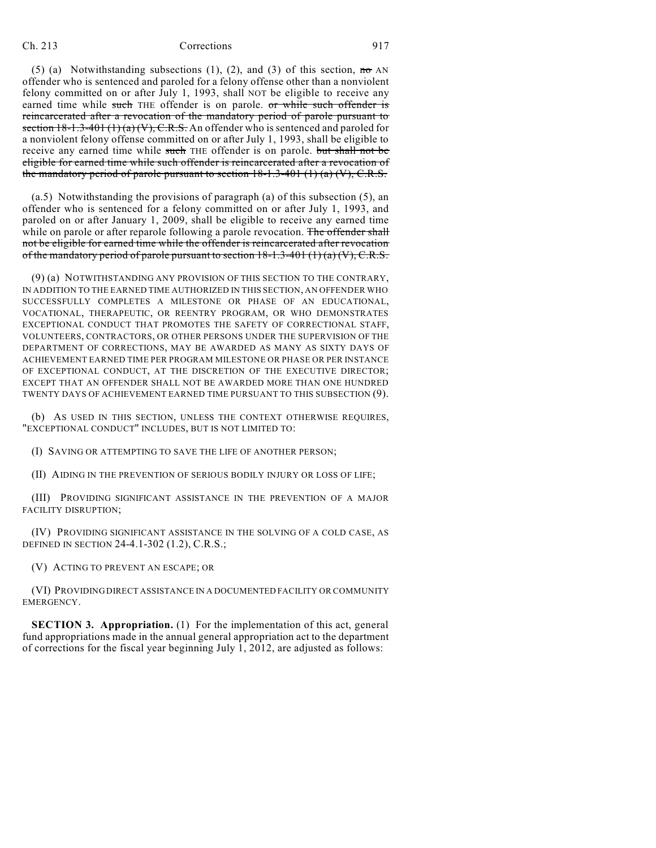## Ch. 213 Corrections 917

(5) (a) Notwithstanding subsections (1), (2), and (3) of this section,  $\overline{m\sigma}$  AN offender who is sentenced and paroled for a felony offense other than a nonviolent felony committed on or after July 1, 1993, shall NOT be eligible to receive any earned time while such THE offender is on parole. or while such offender is reincarcerated after a revocation of the mandatory period of parole pursuant to section  $18-1.3-401(1)(a)(V)$ , C.R.S. An offender who is sentenced and paroled for a nonviolent felony offense committed on or after July 1, 1993, shall be eligible to receive any earned time while such THE offender is on parole. but shall not be eligible for earned time while such offender is reincarcerated after a revocation of the mandatory period of parole pursuant to section  $18-1.3-401(1)$  (a) (V), C.R.S.

(a.5) Notwithstanding the provisions of paragraph (a) of this subsection (5), an offender who is sentenced for a felony committed on or after July 1, 1993, and paroled on or after January 1, 2009, shall be eligible to receive any earned time while on parole or after reparole following a parole revocation. The offender shall not be eligible for earned time while the offender is reincarcerated after revocation of the mandatory period of parole pursuant to section  $18-1.3-401(1)(a)(V)$ , C.R.S.

(9) (a) NOTWITHSTANDING ANY PROVISION OF THIS SECTION TO THE CONTRARY, IN ADDITION TO THE EARNED TIME AUTHORIZED IN THIS SECTION, AN OFFENDER WHO SUCCESSFULLY COMPLETES A MILESTONE OR PHASE OF AN EDUCATIONAL, VOCATIONAL, THERAPEUTIC, OR REENTRY PROGRAM, OR WHO DEMONSTRATES EXCEPTIONAL CONDUCT THAT PROMOTES THE SAFETY OF CORRECTIONAL STAFF, VOLUNTEERS, CONTRACTORS, OR OTHER PERSONS UNDER THE SUPERVISION OF THE DEPARTMENT OF CORRECTIONS, MAY BE AWARDED AS MANY AS SIXTY DAYS OF ACHIEVEMENT EARNED TIME PER PROGRAM MILESTONE OR PHASE OR PER INSTANCE OF EXCEPTIONAL CONDUCT, AT THE DISCRETION OF THE EXECUTIVE DIRECTOR; EXCEPT THAT AN OFFENDER SHALL NOT BE AWARDED MORE THAN ONE HUNDRED TWENTY DAYS OF ACHIEVEMENT EARNED TIME PURSUANT TO THIS SUBSECTION (9).

(b) AS USED IN THIS SECTION, UNLESS THE CONTEXT OTHERWISE REQUIRES, "EXCEPTIONAL CONDUCT" INCLUDES, BUT IS NOT LIMITED TO:

(I) SAVING OR ATTEMPTING TO SAVE THE LIFE OF ANOTHER PERSON;

(II) AIDING IN THE PREVENTION OF SERIOUS BODILY INJURY OR LOSS OF LIFE;

(III) PROVIDING SIGNIFICANT ASSISTANCE IN THE PREVENTION OF A MAJOR FACILITY DISRUPTION;

(IV) PROVIDING SIGNIFICANT ASSISTANCE IN THE SOLVING OF A COLD CASE, AS DEFINED IN SECTION 24-4.1-302 (1.2), C.R.S.;

(V) ACTING TO PREVENT AN ESCAPE; OR

(VI) PROVIDING DIRECT ASSISTANCE IN A DOCUMENTED FACILITY OR COMMUNITY EMERGENCY.

**SECTION 3. Appropriation.** (1) For the implementation of this act, general fund appropriations made in the annual general appropriation act to the department of corrections for the fiscal year beginning July 1, 2012, are adjusted as follows: